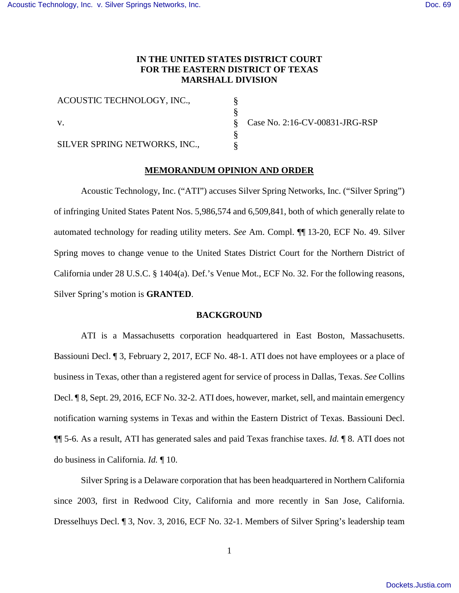# **IN THE UNITED STATES DISTRICT COURT FOR THE EASTERN DISTRICT OF TEXAS MARSHALL DIVISION**

§ § § § §

ACOUSTIC TECHNOLOGY, INC., v. SILVER SPRING NETWORKS, INC.,

Case No. 2:16-CV-00831-JRG-RSP

## **MEMORANDUM OPINION AND ORDER**

Acoustic Technology, Inc. ("ATI") accuses Silver Spring Networks, Inc. ("Silver Spring") of infringing United States Patent Nos. 5,986,574 and 6,509,841, both of which generally relate to automated technology for reading utility meters. *See* Am. Compl. ¶¶ 13-20, ECF No. 49. Silver Spring moves to change venue to the United States District Court for the Northern District of California under 28 U.S.C. § 1404(a). Def.'s Venue Mot., ECF No. 32. For the following reasons, Silver Spring's motion is **GRANTED**.

### **BACKGROUND**

ATI is a Massachusetts corporation headquartered in East Boston, Massachusetts. Bassiouni Decl. ¶ 3, February 2, 2017, ECF No. 48-1. ATI does not have employees or a place of business in Texas, other than a registered agent for service of process in Dallas, Texas. *See* Collins Decl. ¶ 8, Sept. 29, 2016, ECF No. 32-2. ATI does, however, market, sell, and maintain emergency notification warning systems in Texas and within the Eastern District of Texas. Bassiouni Decl. ¶¶ 5-6. As a result, ATI has generated sales and paid Texas franchise taxes. *Id.* ¶ 8. ATI does not do business in California. *Id.* ¶ 10.

Silver Spring is a Delaware corporation that has been headquartered in Northern California since 2003, first in Redwood City, California and more recently in San Jose, California. Dresselhuys Decl. ¶ 3, Nov. 3, 2016, ECF No. 32-1. Members of Silver Spring's leadership team

1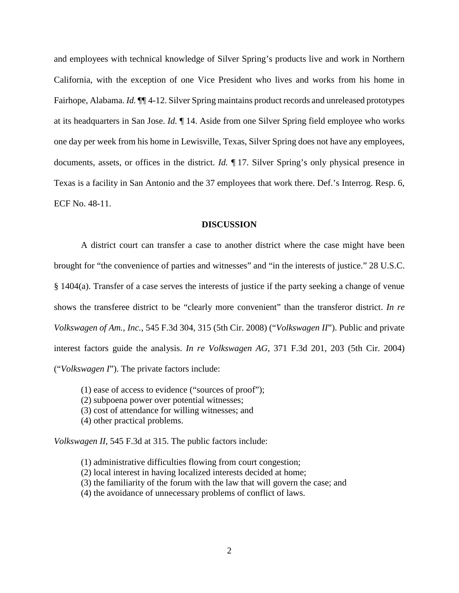and employees with technical knowledge of Silver Spring's products live and work in Northern California, with the exception of one Vice President who lives and works from his home in Fairhope, Alabama. *Id.* ¶¶ 4-12. Silver Spring maintains product records and unreleased prototypes at its headquarters in San Jose. *Id.* ¶ 14. Aside from one Silver Spring field employee who works one day per week from his home in Lewisville, Texas, Silver Spring does not have any employees, documents, assets, or offices in the district. *Id.* ¶ 17. Silver Spring's only physical presence in Texas is a facility in San Antonio and the 37 employees that work there. Def.'s Interrog. Resp. 6, ECF No. 48-11.

### **DISCUSSION**

A district court can transfer a case to another district where the case might have been brought for "the convenience of parties and witnesses" and "in the interests of justice." 28 U.S.C. § 1404(a). Transfer of a case serves the interests of justice if the party seeking a change of venue shows the transferee district to be "clearly more convenient" than the transferor district. *In re Volkswagen of Am., Inc.*, 545 F.3d 304, 315 (5th Cir. 2008) ("*Volkswagen II*"). Public and private interest factors guide the analysis. *In re Volkswagen AG*, 371 F.3d 201, 203 (5th Cir. 2004) ("*Volkswagen I*"). The private factors include:

- (1) ease of access to evidence ("sources of proof");
- (2) subpoena power over potential witnesses;
- (3) cost of attendance for willing witnesses; and
- (4) other practical problems.

*Volkswagen II*, 545 F.3d at 315. The public factors include:

- (1) administrative difficulties flowing from court congestion;
- (2) local interest in having localized interests decided at home;
- (3) the familiarity of the forum with the law that will govern the case; and
- (4) the avoidance of unnecessary problems of conflict of laws.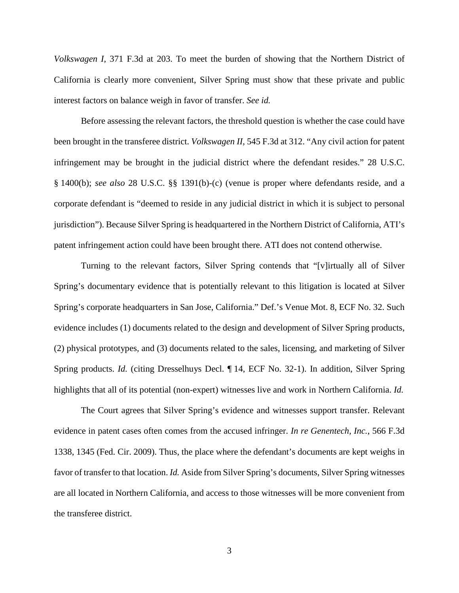*Volkswagen I*, 371 F.3d at 203. To meet the burden of showing that the Northern District of California is clearly more convenient, Silver Spring must show that these private and public interest factors on balance weigh in favor of transfer. *See id.*

Before assessing the relevant factors, the threshold question is whether the case could have been brought in the transferee district. *Volkswagen II*, 545 F.3d at 312. "Any civil action for patent infringement may be brought in the judicial district where the defendant resides." 28 U.S.C. § 1400(b); *see also* 28 U.S.C. §§ 1391(b)-(c) (venue is proper where defendants reside, and a corporate defendant is "deemed to reside in any judicial district in which it is subject to personal jurisdiction"). Because Silver Spring is headquartered in the Northern District of California, ATI's patent infringement action could have been brought there. ATI does not contend otherwise.

Turning to the relevant factors, Silver Spring contends that "[v]irtually all of Silver Spring's documentary evidence that is potentially relevant to this litigation is located at Silver Spring's corporate headquarters in San Jose, California." Def.'s Venue Mot. 8, ECF No. 32. Such evidence includes (1) documents related to the design and development of Silver Spring products, (2) physical prototypes, and (3) documents related to the sales, licensing, and marketing of Silver Spring products. *Id.* (citing Dresselhuys Decl. ¶ 14, ECF No. 32-1). In addition, Silver Spring highlights that all of its potential (non-expert) witnesses live and work in Northern California. *Id.*

The Court agrees that Silver Spring's evidence and witnesses support transfer. Relevant evidence in patent cases often comes from the accused infringer. *In re Genentech, Inc.*, 566 F.3d 1338, 1345 (Fed. Cir. 2009). Thus, the place where the defendant's documents are kept weighs in favor of transfer to that location. *Id.* Aside from Silver Spring's documents, Silver Spring witnesses are all located in Northern California, and access to those witnesses will be more convenient from the transferee district.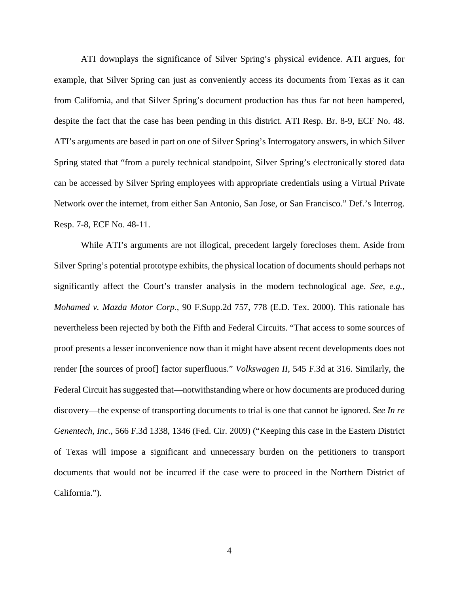ATI downplays the significance of Silver Spring's physical evidence. ATI argues, for example, that Silver Spring can just as conveniently access its documents from Texas as it can from California, and that Silver Spring's document production has thus far not been hampered, despite the fact that the case has been pending in this district. ATI Resp. Br. 8-9, ECF No. 48. ATI's arguments are based in part on one of Silver Spring's Interrogatory answers, in which Silver Spring stated that "from a purely technical standpoint, Silver Spring's electronically stored data can be accessed by Silver Spring employees with appropriate credentials using a Virtual Private Network over the internet, from either San Antonio, San Jose, or San Francisco." Def.'s Interrog. Resp. 7-8, ECF No. 48-11.

While ATI's arguments are not illogical, precedent largely forecloses them. Aside from Silver Spring's potential prototype exhibits, the physical location of documents should perhaps not significantly affect the Court's transfer analysis in the modern technological age. *See, e.g.*, *Mohamed v. Mazda Motor Corp.*, 90 F.Supp.2d 757, 778 (E.D. Tex. 2000). This rationale has nevertheless been rejected by both the Fifth and Federal Circuits. "That access to some sources of proof presents a lesser inconvenience now than it might have absent recent developments does not render [the sources of proof] factor superfluous." *Volkswagen II*, 545 F.3d at 316. Similarly, the Federal Circuit has suggested that—notwithstanding where or how documents are produced during discovery—the expense of transporting documents to trial is one that cannot be ignored. *See In re Genentech, Inc.*, 566 F.3d 1338, 1346 (Fed. Cir. 2009) ("Keeping this case in the Eastern District of Texas will impose a significant and unnecessary burden on the petitioners to transport documents that would not be incurred if the case were to proceed in the Northern District of California.").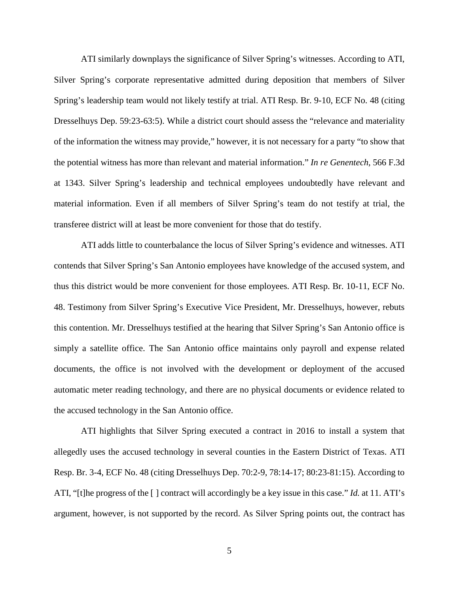ATI similarly downplays the significance of Silver Spring's witnesses. According to ATI, Silver Spring's corporate representative admitted during deposition that members of Silver Spring's leadership team would not likely testify at trial. ATI Resp. Br. 9-10, ECF No. 48 (citing Dresselhuys Dep. 59:23-63:5). While a district court should assess the "relevance and materiality of the information the witness may provide," however, it is not necessary for a party "to show that the potential witness has more than relevant and material information." *In re Genentech*, 566 F.3d at 1343. Silver Spring's leadership and technical employees undoubtedly have relevant and material information. Even if all members of Silver Spring's team do not testify at trial, the transferee district will at least be more convenient for those that do testify.

ATI adds little to counterbalance the locus of Silver Spring's evidence and witnesses. ATI contends that Silver Spring's San Antonio employees have knowledge of the accused system, and thus this district would be more convenient for those employees. ATI Resp. Br. 10-11, ECF No. 48. Testimony from Silver Spring's Executive Vice President, Mr. Dresselhuys, however, rebuts this contention. Mr. Dresselhuys testified at the hearing that Silver Spring's San Antonio office is simply a satellite office. The San Antonio office maintains only payroll and expense related documents, the office is not involved with the development or deployment of the accused automatic meter reading technology, and there are no physical documents or evidence related to the accused technology in the San Antonio office.

ATI highlights that Silver Spring executed a contract in 2016 to install a system that allegedly uses the accused technology in several counties in the Eastern District of Texas. ATI Resp. Br. 3-4, ECF No. 48 (citing Dresselhuys Dep. 70:2-9, 78:14-17; 80:23-81:15). According to ATI, "[t]he progress of the [ ] contract will accordingly be a key issue in this case." *Id.* at 11. ATI's argument, however, is not supported by the record. As Silver Spring points out, the contract has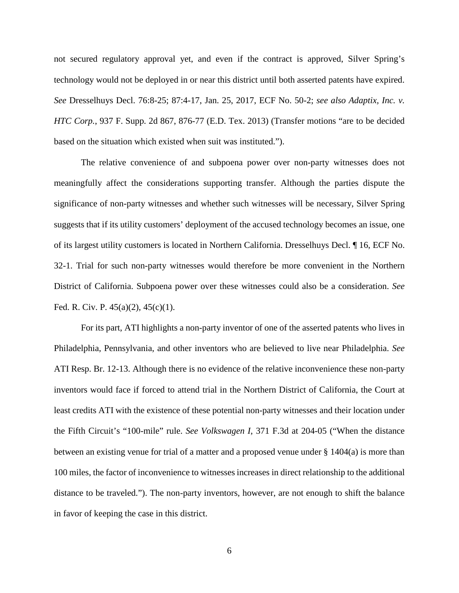not secured regulatory approval yet, and even if the contract is approved, Silver Spring's technology would not be deployed in or near this district until both asserted patents have expired. *See* Dresselhuys Decl. 76:8-25; 87:4-17, Jan. 25, 2017, ECF No. 50-2; *see also Adaptix, Inc. v. HTC Corp.*, 937 F. Supp. 2d 867, 876-77 (E.D. Tex. 2013) (Transfer motions "are to be decided based on the situation which existed when suit was instituted.").

The relative convenience of and subpoena power over non-party witnesses does not meaningfully affect the considerations supporting transfer. Although the parties dispute the significance of non-party witnesses and whether such witnesses will be necessary, Silver Spring suggests that if its utility customers' deployment of the accused technology becomes an issue, one of its largest utility customers is located in Northern California. Dresselhuys Decl. ¶ 16, ECF No. 32-1. Trial for such non-party witnesses would therefore be more convenient in the Northern District of California. Subpoena power over these witnesses could also be a consideration. *See* Fed. R. Civ. P. 45(a)(2), 45(c)(1).

For its part, ATI highlights a non-party inventor of one of the asserted patents who lives in Philadelphia, Pennsylvania, and other inventors who are believed to live near Philadelphia. *See* ATI Resp. Br. 12-13. Although there is no evidence of the relative inconvenience these non-party inventors would face if forced to attend trial in the Northern District of California, the Court at least credits ATI with the existence of these potential non-party witnesses and their location under the Fifth Circuit's "100-mile" rule. *See Volkswagen I*, 371 F.3d at 204-05 ("When the distance between an existing venue for trial of a matter and a proposed venue under  $\S$  1404(a) is more than 100 miles, the factor of inconvenience to witnesses increases in direct relationship to the additional distance to be traveled."). The non-party inventors, however, are not enough to shift the balance in favor of keeping the case in this district.